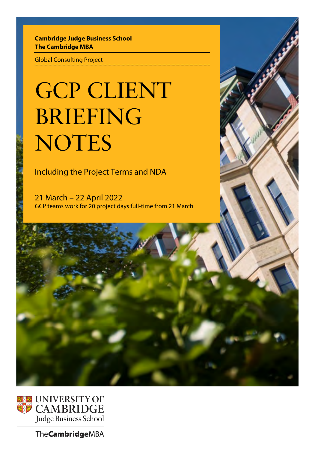# **Cambridge Judge Business School The Cambridge MBA**

Global Consulting Project

# GCP CLIENT BRIEFING **NOTES**

Including the Project Terms and NDA

21 March – 22 April 2022 GCP teams work for 20 project days full-time from 21 March



The **Cambridge** MBA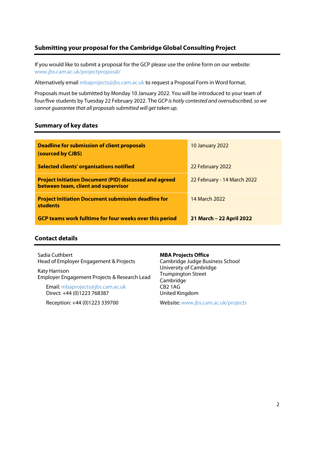# **Submitting your proposal for the Cambridge Global Consulting Project**

If you would like to submit a proposal for the GCP please use the online form on our website: [www.jbs.cam.ac.uk/projectproposal/](http://www.jbs.cam.ac.uk/projectproposal/)

Alternatively email mbaprojects@jbs.cam.ac.uk to request a Proposal Form in Word format.

Proposals must be submitted by Monday 10 January 2022. You will be introduced to your team of four/five students by Tuesday 22 February 2022. The *GCP is hotly contested and oversubscribed, so we cannot guarantee that all proposals submitted will get taken up.*

## **Summary of key dates**

| <b>Deadline for submission of client proposals</b><br>(sourced by CJBS)                              | <b>10 January 2022</b>      |
|------------------------------------------------------------------------------------------------------|-----------------------------|
| <b>Selected clients' organisations notified</b>                                                      | 22 February 2022            |
| <b>Project Initiation Document (PID) discussed and agreed</b><br>between team, client and supervisor | 22 February - 14 March 2022 |
| <b>Project Initiation Document submission deadline for</b><br><b>students</b>                        | 14 March 2022               |
| <b>GCP teams work fulltime for four weeks over this period</b>                                       | 21 March - 22 April 2022    |

## **Contact details**

Sadia Cuthbert Head of Employer Engagement & Projects

Katy Harrison Employer Engagement Projects & Research Lead

Email: [mbaprojects@jbs.cam.ac.uk](mailto:mbaprojects@jbs.cam.ac.uk)  Direct: +44 (0)1223 768387

Reception: +44 (0)1223 339700

#### **MBA Projects Office**

Cambridge Judge Business School University of Cambridge Trumpington Street Cambridge CB2 1AG United Kingdom

Website[: www.jbs.cam.ac.uk/projects](http://www.jbs.cam.ac.uk/projects)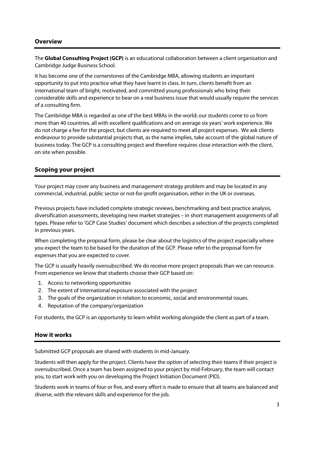## **Overview**

The **Global Consulting Project (GCP)** is an educational collaboration between a client organisation and Cambridge Judge Business School.

It has become one of the cornerstones of the Cambridge MBA, allowing students an important opportunity to put into practice what they have learnt in class. In turn, clients benefit from an international team of bright, motivated, and committed young professionals who bring their considerable skills and experience to bear on a real business issue that would usually require the services of a consulting firm.

The Cambridge MBA is regarded as one of the best MBAs in the world; our students come to us from more than 40 countries, all with excellent qualifications and on average six years' work experience. We do not charge a fee for the project, but clients are required to meet all project expenses. We ask clients endeavour to provide substantial projects that, as the name implies, take account of the global nature of business today. The GCP is a consulting project and therefore requires close interaction with the client, on site when possible.

## **Scoping your project**

Your project may cover any business and management strategy problem and may be located in any commercial, industrial, public sector or not-for-profit organisation, either in the UK or overseas.

Previous projects have included complete strategic reviews, benchmarking and best practice analysis, diversification assessments, developing new market strategies – in short management assignments of all types. Please refer to 'GCP Case Studies' document which describes a selection of the projects completed in previous years.

When completing the proposal form, please be clear about the logistics of the project especially where you expect the team to be based for the duration of the GCP. Please refer to the proposal form for expenses that you are expected to cover.

The GCP is usually heavily oversubscribed. We do receive more project proposals than we can resource. From experience we know that students choose their GCP based on:

- 1. Access to networking opportunities
- 2. The extent of international exposure associated with the project
- 3. The goals of the organization in relation to economic, social and environmental issues.
- 4. Reputation of the company/organization

For students, the GCP is an opportunity to learn whilst working alongside the client as part of a team.

## **How it works**

Submitted GCP proposals are shared with students in mid-January.

Students will then apply for the project. Clients have the option of selecting their teams if their project is oversubscribed. Once a team has been assigned to your project by mid-February, the team will contact you, to start work with you on developing the Project Initiation Document (PID).

Students work in teams of four or five, and every effort is made to ensure that all teams are balanced and diverse, with the relevant skills and experience for the job.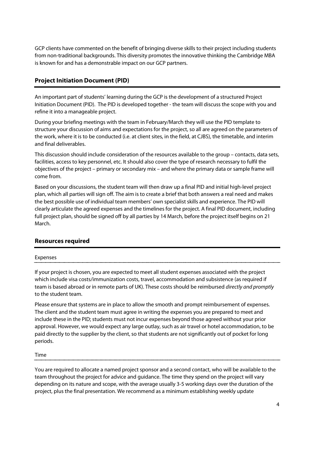GCP clients have commented on the benefit of bringing diverse skills to their project including students from non-traditional backgrounds. This diversity promotes the innovative thinking the Cambridge MBA is known for and has a demonstrable impact on our GCP partners.

## **Project Initiation Document (PID)**

An important part of students' learning during the GCP is the development of a structured Project Initiation Document (PID). The PID is developed together - the team will discuss the scope with you and refine it into a manageable project.

During your briefing meetings with the team in February/March they will use the PID template to structure your discussion of aims and expectations for the project, so all are agreed on the parameters of the work, where it is to be conducted (i.e. at client sites, in the field, at CJBS), the timetable, and interim and final deliverables.

This discussion should include consideration of the resources available to the group – contacts, data sets, facilities, access to key personnel, etc. It should also cover the type of research necessary to fulfil the objectives of the project – primary or secondary mix – and where the primary data or sample frame will come from.

Based on your discussions, the student team will then draw up a final PID and initial high-level project plan, which all parties will sign off. The aim is to create a brief that both answers a real need and makes the best possible use of individual team members' own specialist skills and experience. The PID will clearly articulate the agreed expenses and the timelines for the project. A final PID document, including full project plan, should be signed off by all parties by 14 March, before the project itself begins on 21 March.

## **Resources required**

#### Expenses

If your project is chosen, you are expected to meet all student expenses associated with the project which include visa costs/immunization costs, travel, accommodation and subsistence (as required if team is based abroad or in remote parts of UK). These costs should be reimbursed *directly and promptly* to the student team.

Please ensure that systems are in place to allow the smooth and prompt reimbursement of expenses. The client and the student team must agree in writing the expenses you are prepared to meet and include these in the PID; students must not incur expenses beyond those agreed without your prior approval. However, we would expect any large outlay, such as air travel or hotel accommodation, to be paid directly to the supplier by the client, so that students are not significantly out of pocket for long periods.

#### Time

You are required to allocate a named project sponsor and a second contact, who will be available to the team throughout the project for advice and guidance. The time they spend on the project will vary depending on its nature and scope, with the average usually 3-5 working days over the duration of the project, plus the final presentation. We recommend as a minimum establishing weekly update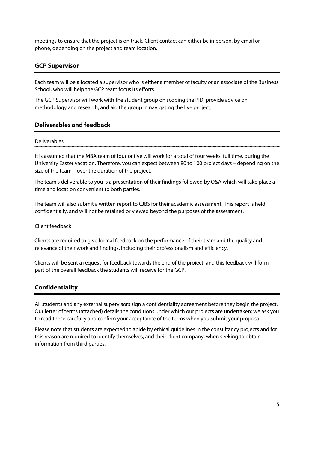meetings to ensure that the project is on track. Client contact can either be in person, by email or phone, depending on the project and team location.

## **GCP Supervisor**

Each team will be allocated a supervisor who is either a member of faculty or an associate of the Business School, who will help the GCP team focus its efforts.

The GCP Supervisor will work with the student group on scoping the PID, provide advice on methodology and research, and aid the group in navigating the live project.

## **Deliverables and feedback**

#### Deliverables

It is assumed that the MBA team of four or five will work for a total of four weeks, full time, during the University Easter vacation. Therefore, you can expect between 80 to 100 project days – depending on the size of the team – over the duration of the project.

The team's deliverable to you is a presentation of their findings followed by Q&A which will take place a time and location convenient to both parties.

The team will also submit a written report to CJBS for their academic assessment. This report is held confidentially, and will not be retained or viewed beyond the purposes of the assessment.

#### Client feedback

Clients are required to give formal feedback on the performance of their team and the quality and relevance of their work and findings, including their professionalism and efficiency.

Clients will be sent a request for feedback towards the end of the project, and this feedback will form part of the overall feedback the students will receive for the GCP.

## **Confidentiality**

All students and any external supervisors sign a confidentiality agreement before they begin the project. Our letter of terms (attached) details the conditions under which our projects are undertaken; we ask you to read these carefully and confirm your acceptance of the terms when you submit your proposal.

Please note that students are expected to abide by ethical guidelines in the consultancy projects and for this reason are required to identify themselves, and their client company, when seeking to obtain information from third parties.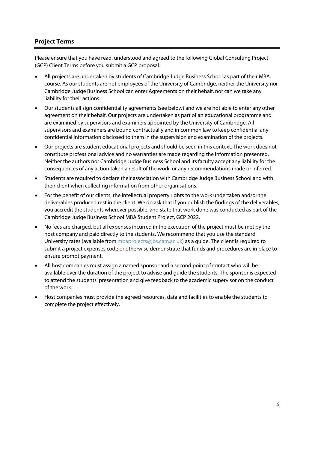# **Project Terms**

Please ensure that you have read, understood and agreed to the following Global Consulting Project (GCP) Client Terms before you submit a GCP proposal.

- All projects are undertaken by students of Cambridge Judge Business School as part of their MBA course. As our students are not employees of the University of Cambridge, neither the University nor Cambridge Judge Business School can enter Agreements on their behalf, nor can we take any liability for their actions.
- Our students all sign confidentiality agreements (see below) and we are not able to enter any other agreement on their behalf. Our projects are undertaken as part of an educational programme and are examined by supervisors and examiners appointed by the University of Cambridge. All supervisors and examiners are bound contractually and in common law to keep confidential any confidential information disclosed to them in the supervision and examination of the projects.
- Our projects are student educational projects and should be seen in this context. The work does not constitute professional advice and no warranties are made regarding the information presented. Neither the authors nor Cambridge Judge Business School and its faculty accept any liability for the consequences of any action taken a result of the work, or any recommendations made or inferred.
- Students are required to declare their association with Cambridge Judge Business School and with their client when collecting information from other organisations.
- For the benefit of our clients, the intellectual property rights to the work undertaken and/or the deliverables produced rest in the client. We do ask that if you publish the findings of the deliverables, you accredit the students wherever possible, and state that work done was conducted as part of the Cambridge Judge Business School MBA Student Project, GCP 2022.
- No fees are charged, but all expenses incurred in the execution of the project must be met by the host company and paid directly to the students. We recommend that you use the standard University rates (available from mbaprojects@jbs.cam.ac.uk) as a guide. The client is required to submit a project expenses code or otherwise demonstrate that funds and procedures are in place to ensure prompt payment.
- All host companies must assign a named sponsor and a second point of contact who will be available over the duration of the project to advise and guide the students. The sponsor is expected to attend the students' presentation and give feedback to the academic supervisor on the conduct of the work.
- Host companies must provide the agreed resources, data and facilities to enable the students to complete the project effectively.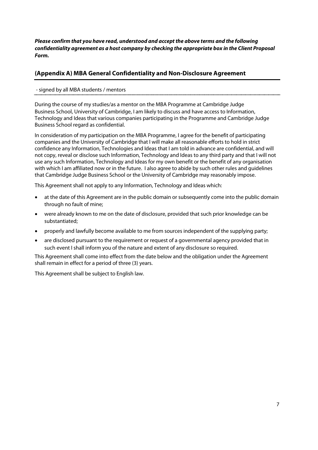*Please confirm that you have read, understood and accept the above terms and the following confidentiality agreement as a host company by checking the appropriate box in the Client Proposal Form.*

# **(Appendix A) MBA General Confidentiality and Non-Disclosure Agreement**

#### - signed by all MBA students / mentors

During the course of my studies/as a mentor on the MBA Programme at Cambridge Judge Business School, University of Cambridge, I am likely to discuss and have access to Information, Technology and Ideas that various companies participating in the Programme and Cambridge Judge Business School regard as confidential.

In consideration of my participation on the MBA Programme, I agree for the benefit of participating companies and the University of Cambridge that I will make all reasonable efforts to hold in strict confidence any Information, Technologies and Ideas that I am told in advance are confidential, and will not copy, reveal or disclose such Information, Technology and Ideas to any third party and that I will not use any such Information, Technology and Ideas for my own benefit or the benefit of any organisation with which I am affiliated now or in the future. I also agree to abide by such other rules and guidelines that Cambridge Judge Business School or the University of Cambridge may reasonably impose.

This Agreement shall not apply to any Information, Technology and Ideas which:

- at the date of this Agreement are in the public domain or subsequently come into the public domain through no fault of mine;
- were already known to me on the date of disclosure, provided that such prior knowledge can be substantiated;
- properly and lawfully become available to me from sources independent of the supplying party;
- are disclosed pursuant to the requirement or request of a governmental agency provided that in such event I shall inform you of the nature and extent of any disclosure so required.

This Agreement shall come into effect from the date below and the obligation under the Agreement shall remain in effect for a period of three (3) years.

This Agreement shall be subject to English law.